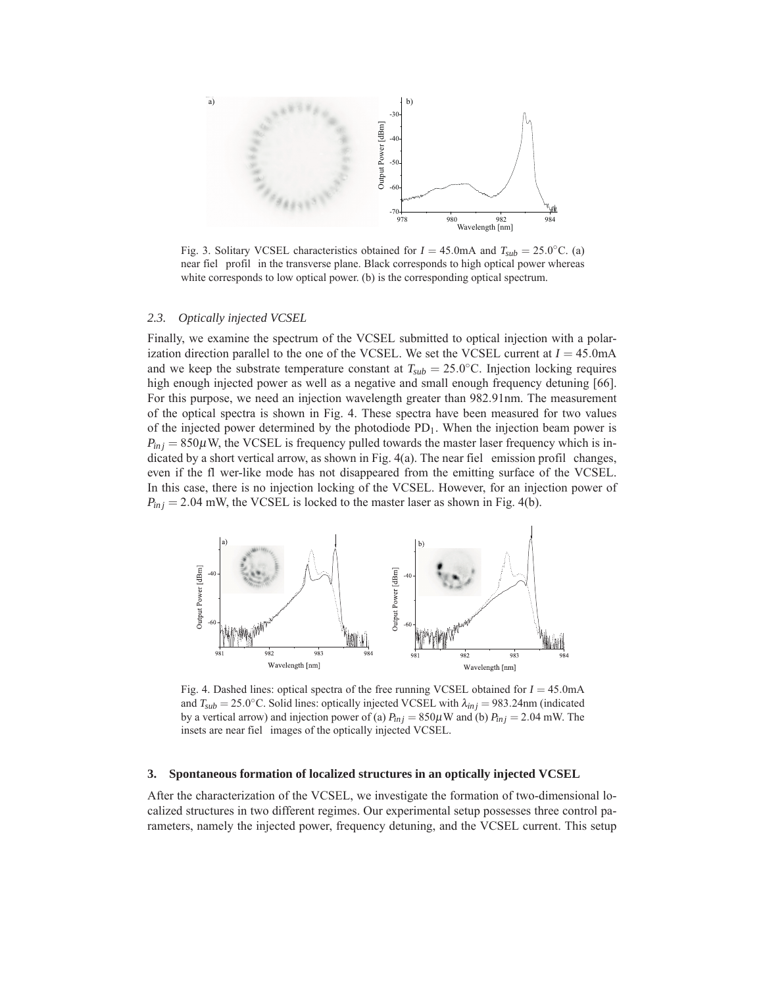

Fig. 3. Solitary VCSEL characteristics obtained for  $I = 45.0 \text{mA}$  and  $T_{sub} = 25.0 \degree \text{C}$ . (a) near fiel profil in the transverse plane. Black corresponds to high optical power whereas white corresponds to low optical power. (b) is the corresponding optical spectrum.

## *2.3. Optically injected VCSEL*

Finally, we examine the spectrum of the VCSEL submitted to optical injection with a polarization direction parallel to the one of the VCSEL. We set the VCSEL current at  $I = 45.0 \text{mA}$ and we keep the substrate temperature constant at  $T_{sub} = 25.0$ <sup>o</sup>C. Injection locking requires high enough injected power as well as a negative and small enough frequency detuning [66]. For this purpose, we need an injection wavelength greater than 982*.*91nm. The measurement of the optical spectra is shown in Fig. 4. These spectra have been measured for two values of the injected power determined by the photodiode PD1. When the injection beam power is  $P_{inj}$  = 850 $\mu$ W, the VCSEL is frequency pulled towards the master laser frequency which is indicated by a short vertical arrow, as shown in Fig. 4(a). The near fiel emission profil changes, even if the fl wer-like mode has not disappeared from the emitting surface of the VCSEL. In this case, there is no injection locking of the VCSEL. However, for an injection power of  $P_{inj}$  = 2.04 mW, the VCSEL is locked to the master laser as shown in Fig. 4(b).



Fig. 4. Dashed lines: optical spectra of the free running VCSEL obtained for *I* = 45*.*0mA and  $T_{sub} = 25.0$ °C. Solid lines: optically injected VCSEL with  $\lambda_{inj} = 983.24$ nm (indicated by a vertical arrow) and injection power of (a)  $P_{inj} = 850 \mu$ W and (b)  $P_{inj} = 2.04$  mW. The insets are near fiel images of the optically injected VCSEL.

## **3. Spontaneous formation of localized structures in an optically injected VCSEL**

After the characterization of the VCSEL, we investigate the formation of two-dimensional localized structures in two different regimes. Our experimental setup possesses three control parameters, namely the injected power, frequency detuning, and the VCSEL current. This setup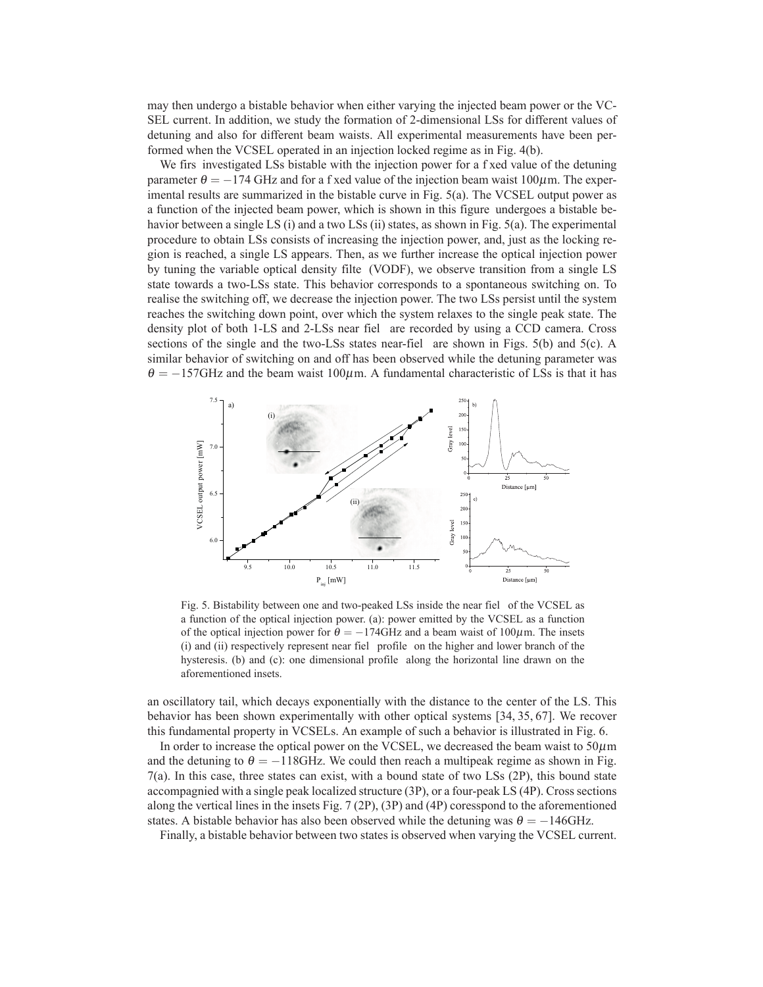may then undergo a bistable behavior when either varying the injected beam power or the VC-SEL current. In addition, we study the formation of 2-dimensional LSs for different values of detuning and also for different beam waists. All experimental measurements have been performed when the VCSEL operated in an injection locked regime as in Fig. 4(b).

We firs investigated LSs bistable with the injection power for a f xed value of the detuning parameter  $\theta = -174$  GHz and for a f xed value of the injection beam waist 100 $\mu$ m. The experimental results are summarized in the bistable curve in Fig. 5(a). The VCSEL output power as a function of the injected beam power, which is shown in this figure undergoes a bistable behavior between a single LS (i) and a two LSs (ii) states, as shown in Fig. 5(a). The experimental procedure to obtain LSs consists of increasing the injection power, and, just as the locking region is reached, a single LS appears. Then, as we further increase the optical injection power by tuning the variable optical density filte (VODF), we observe transition from a single LS state towards a two-LSs state. This behavior corresponds to a spontaneous switching on. To realise the switching off, we decrease the injection power. The two LSs persist until the system reaches the switching down point, over which the system relaxes to the single peak state. The density plot of both 1-LS and 2-LSs near fiel are recorded by using a CCD camera. Cross sections of the single and the two-LSs states near-fiel are shown in Figs. 5(b) and 5(c). A similar behavior of switching on and off has been observed while the detuning parameter was  $\theta = -157$ GHz and the beam waist 100 $\mu$ m. A fundamental characteristic of LSs is that it has



Fig. 5. Bistability between one and two-peaked LSs inside the near fiel of the VCSEL as a function of the optical injection power. (a): power emitted by the VCSEL as a function of the optical injection power for  $\theta = -174 \text{GHz}$  and a beam waist of 100 $\mu$ m. The insets (i) and (ii) respectively represent near fiel profile on the higher and lower branch of the hysteresis. (b) and (c): one dimensional profile along the horizontal line drawn on the aforementioned insets.

an oscillatory tail, which decays exponentially with the distance to the center of the LS. This behavior has been shown experimentally with other optical systems [34, 35, 67]. We recover this fundamental property in VCSELs. An example of such a behavior is illustrated in Fig. 6.

In order to increase the optical power on the VCSEL, we decreased the beam waist to  $50 \mu m$ and the detuning to  $\theta = -118$ GHz. We could then reach a multipeak regime as shown in Fig. 7(a). In this case, three states can exist, with a bound state of two LSs (2P), this bound state accompagnied with a single peak localized structure (3P), or a four-peak LS (4P). Cross sections along the vertical lines in the insets Fig. 7 (2P), (3P) and (4P) coresspond to the aforementioned states. A bistable behavior has also been observed while the detuning was  $\theta = -146$ GHz.

Finally, a bistable behavior between two states is observed when varying the VCSEL current.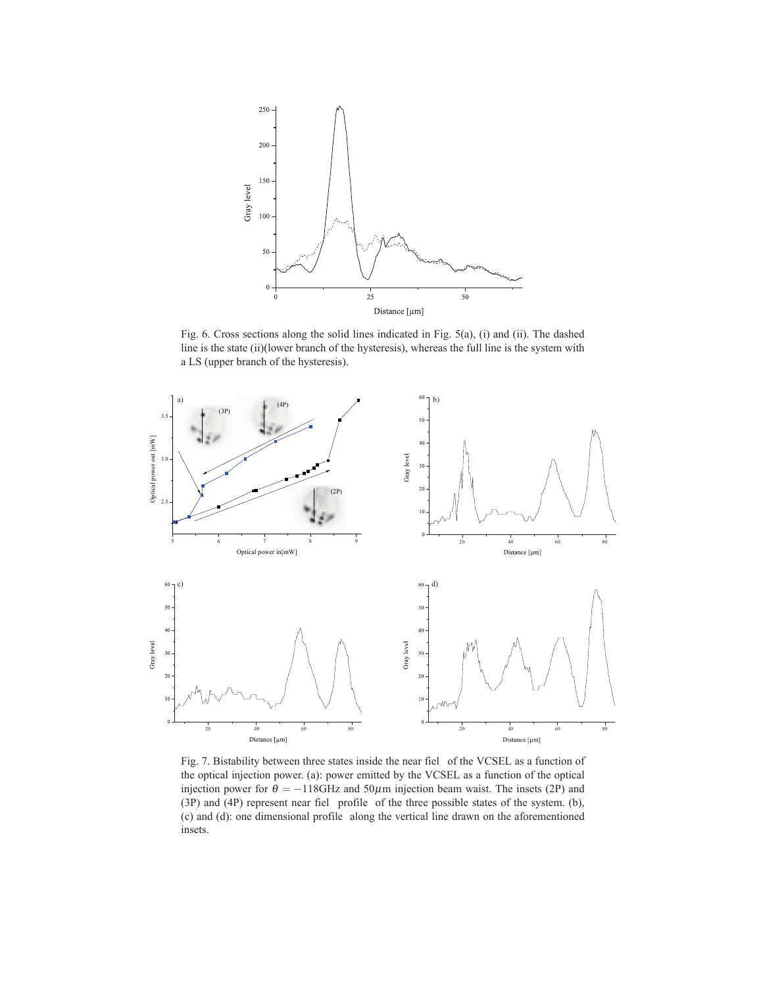

Fig. 6. Cross sections along the solid lines indicated in Fig. 5(a), (i) and (ii). The dashed line is the state (ii)(lower branch of the hysteresis), whereas the full line is the system with a LS (upper branch of the hysteresis).



Fig. 7. Bistability between three states inside the near fiel of the VCSEL as a function of the optical injection power. (a): power emitted by the VCSEL as a function of the optical injection power for  $\theta = -118$ GHz and 50 $\mu$ m injection beam waist. The insets (2P) and (3P) and (4P) represent near fiel profile of the three possible states of the system. (b), (c) and (d): one dimensional profile along the vertical line drawn on the aforementioned insets.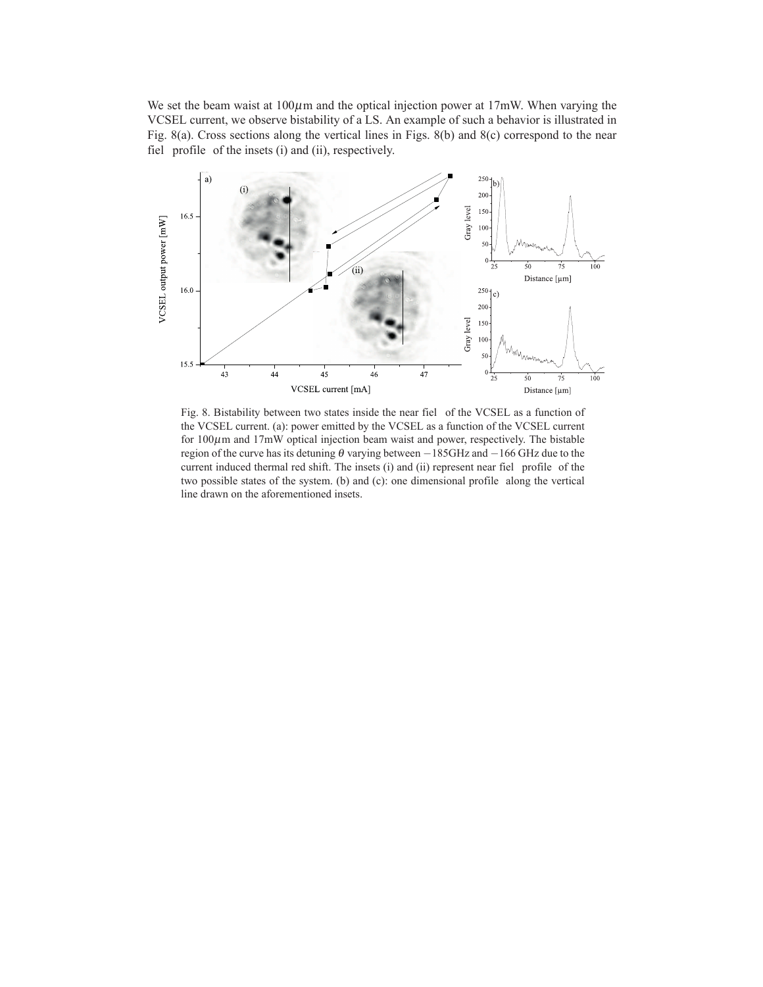We set the beam waist at  $100\mu$ m and the optical injection power at  $17\text{mW}$ . When varying the VCSEL current, we observe bistability of a LS. An example of such a behavior is illustrated in Fig. 8(a). Cross sections along the vertical lines in Figs. 8(b) and 8(c) correspond to the near fiel profile of the insets (i) and (ii), respectively.



Fig. 8. Bistability between two states inside the near fiel of the VCSEL as a function of the VCSEL current. (a): power emitted by the VCSEL as a function of the VCSEL current for  $100\mu$ m and  $17\text{mW}$  optical injection beam waist and power, respectively. The bistable region of the curve has its detuning  $\theta$  varying between −185GHz and −166 GHz due to the current induced thermal red shift. The insets (i) and (ii) represent near fiel profile of the two possible states of the system. (b) and (c): one dimensional profile along the vertical line drawn on the aforementioned insets.